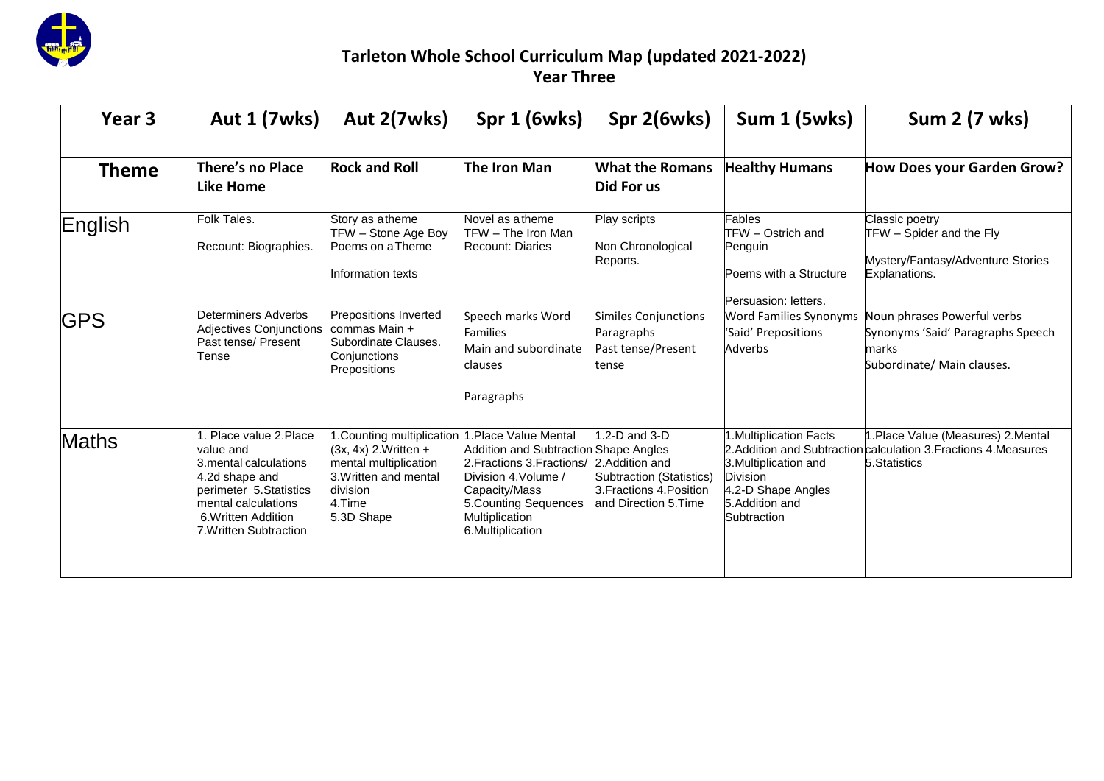

| Year 3       | <b>Aut 1 (7wks)</b>                                                                                                                                                             | Aut 2(7wks)                                                                                                                               | Spr 1 (6wks)                                                                                                                                                                                       | Spr 2(6wks)                                                                                                       | Sum 1 (5wks)                                                                                                               | <b>Sum 2 (7 wks)</b>                                                                                                 |
|--------------|---------------------------------------------------------------------------------------------------------------------------------------------------------------------------------|-------------------------------------------------------------------------------------------------------------------------------------------|----------------------------------------------------------------------------------------------------------------------------------------------------------------------------------------------------|-------------------------------------------------------------------------------------------------------------------|----------------------------------------------------------------------------------------------------------------------------|----------------------------------------------------------------------------------------------------------------------|
| <b>Theme</b> | There's no Place<br>Like Home                                                                                                                                                   | <b>Rock and Roll</b>                                                                                                                      | The Iron Man                                                                                                                                                                                       | <b>What the Romans</b><br>Did For us                                                                              | <b>Healthy Humans</b>                                                                                                      | <b>How Does your Garden Grow?</b>                                                                                    |
| English      | Folk Tales.<br>Recount: Biographies.                                                                                                                                            | Story as atheme<br>TFW - Stone Age Boy<br>Poems on a Theme<br>Information texts                                                           | Novel as a theme<br>TFW - The Iron Man<br><b>Recount: Diaries</b>                                                                                                                                  | Play scripts<br>Non Chronological<br>Reports.                                                                     | Fables<br><b>TFW</b> – Ostrich and<br>Penguin<br>Poems with a Structure<br>Persuasion: letters.                            | Classic poetry<br>TFW - Spider and the Fly<br>Mystery/Fantasy/Adventure Stories<br>Explanations.                     |
| <b>GPS</b>   | Determiners Adverbs<br>Adjectives Conjunctions<br>Past tense/ Present<br>Tense                                                                                                  | Prepositions Inverted<br>commas Main +<br>Subordinate Clauses.<br>Conjunctions<br>Prepositions                                            | Speech marks Word<br><b>Families</b><br>Main and subordinate<br>clauses<br>Paragraphs                                                                                                              | Similes Conjunctions<br>Paragraphs<br>Past tense/Present<br>tense                                                 | Word Families Synonyms<br>'Said' Prepositions<br>Adverbs                                                                   | Noun phrases Powerful verbs<br>Synonyms 'Said' Paragraphs Speech<br>marks<br>Subordinate/ Main clauses.              |
| Maths        | Place value 2.Place<br>value and<br>3. mental calculations<br>4.2d shape and<br>perimeter 5. Statistics<br>mental calculations<br>6. Written Addition<br>7. Written Subtraction | .Counting multiplication<br>$(3x, 4x)$ 2. Written +<br>mental multiplication<br>3. Written and mental<br>division<br>4.Time<br>5.3D Shape | .Place Value Mental<br>Addition and Subtraction Shape Angles<br>2. Fractions 3. Fractions/<br>Division 4. Volume /<br>Capacity/Mass<br>5. Counting Sequences<br>Multiplication<br>6.Multiplication | 1.2-D and 3-D<br>2. Addition and<br>Subtraction (Statistics)<br>3. Fractions 4. Position<br>and Direction 5. Time | 1. Multiplication Facts<br>3. Multiplication and<br><b>Division</b><br>4.2-D Shape Angles<br>5.Addition and<br>Subtraction | .Place Value (Measures) 2.Mental<br>2.Addition and Subtraction calculation 3. Fractions 4. Measures<br>5. Statistics |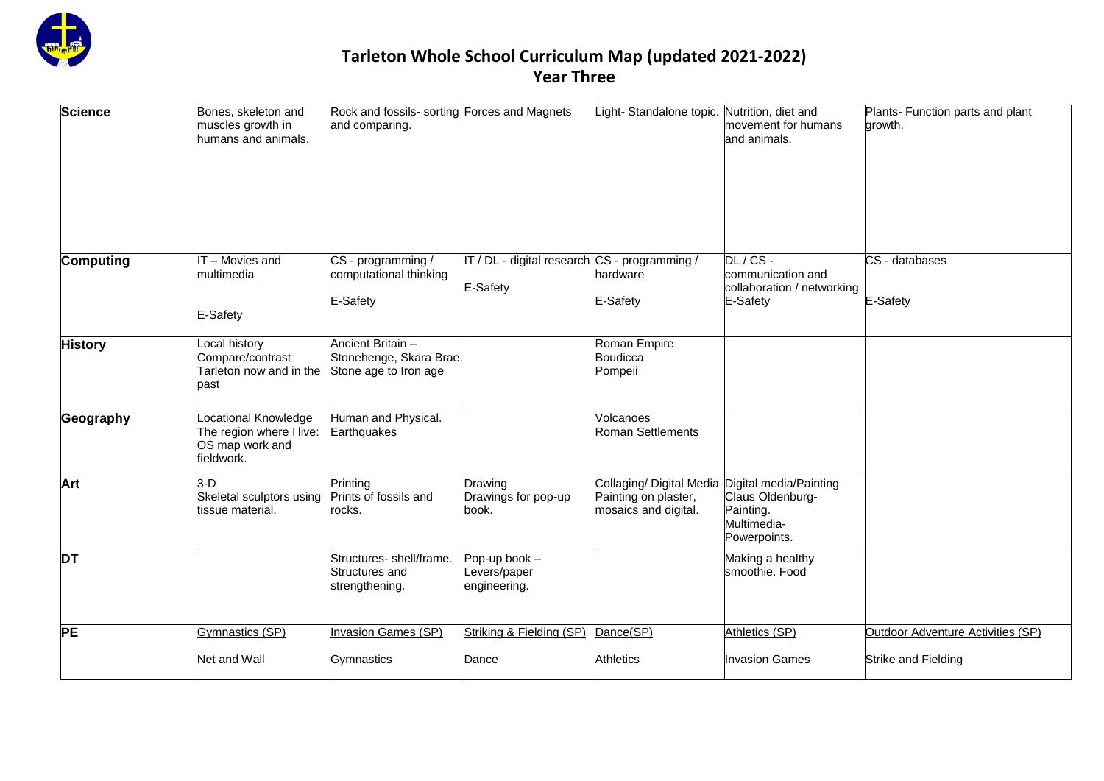

| <b>Science</b>   | Bones, skeleton and<br>muscles growth in<br>humans and animals.                   | Rock and fossils- sorting Forces and Magnets<br>and comparing.        |                                                           | Light- Standalone topic. Nutrition, diet and                                                    | movement for humans<br>and animals.                                      | Plants- Function parts and plant<br>growth.              |
|------------------|-----------------------------------------------------------------------------------|-----------------------------------------------------------------------|-----------------------------------------------------------|-------------------------------------------------------------------------------------------------|--------------------------------------------------------------------------|----------------------------------------------------------|
| <b>Computing</b> | IT - Movies and<br>multimedia<br>E-Safety                                         | CS - programming /<br>computational thinking<br>E-Safety              | IT / DL - digital research CS - programming /<br>E-Safety | hardware<br>E-Safety                                                                            | $DL/CS$ -<br>communication and<br>collaboration / networking<br>E-Safety | CS - databases<br>E-Safety                               |
| <b>History</b>   | Local history<br>Compare/contrast<br>Tarleton now and in the<br>past              | Ancient Britain -<br>Stonehenge, Skara Brae.<br>Stone age to Iron age |                                                           | Roman Empire<br>Boudicca<br>Pompeii                                                             |                                                                          |                                                          |
| Geography        | Locational Knowledge<br>The region where I live:<br>OS map work and<br>fieldwork. | Human and Physical.<br>Earthquakes                                    |                                                           | Volcanoes<br><b>Roman Settlements</b>                                                           |                                                                          |                                                          |
| Art              | $3-D$<br>Skeletal sculptors using<br>tissue material.                             | Printing<br>Prints of fossils and<br>rocks.                           | Drawing<br>Drawings for pop-up<br>book.                   | Collaging/ Digital Media Digital media/Painting<br>Painting on plaster,<br>mosaics and digital. | Claus Oldenburg-<br>Painting.<br>Multimedia-<br>Powerpoints.             |                                                          |
| <b>DT</b>        |                                                                                   | Structures- shell/frame.<br>Structures and<br>strengthening.          | Pop-up book -<br>Levers/paper<br>engineering.             |                                                                                                 | Making a healthy<br>smoothie. Food                                       |                                                          |
| <b>PE</b>        | Gymnastics (SP)<br>Net and Wall                                                   | Invasion Games (SP)<br>Gymnastics                                     | Striking & Fielding (SP)<br>Dance                         | Dance(SP)<br><b>Athletics</b>                                                                   | Athletics (SP)<br><b>Invasion Games</b>                                  | Outdoor Adventure Activities (SP)<br>Strike and Fielding |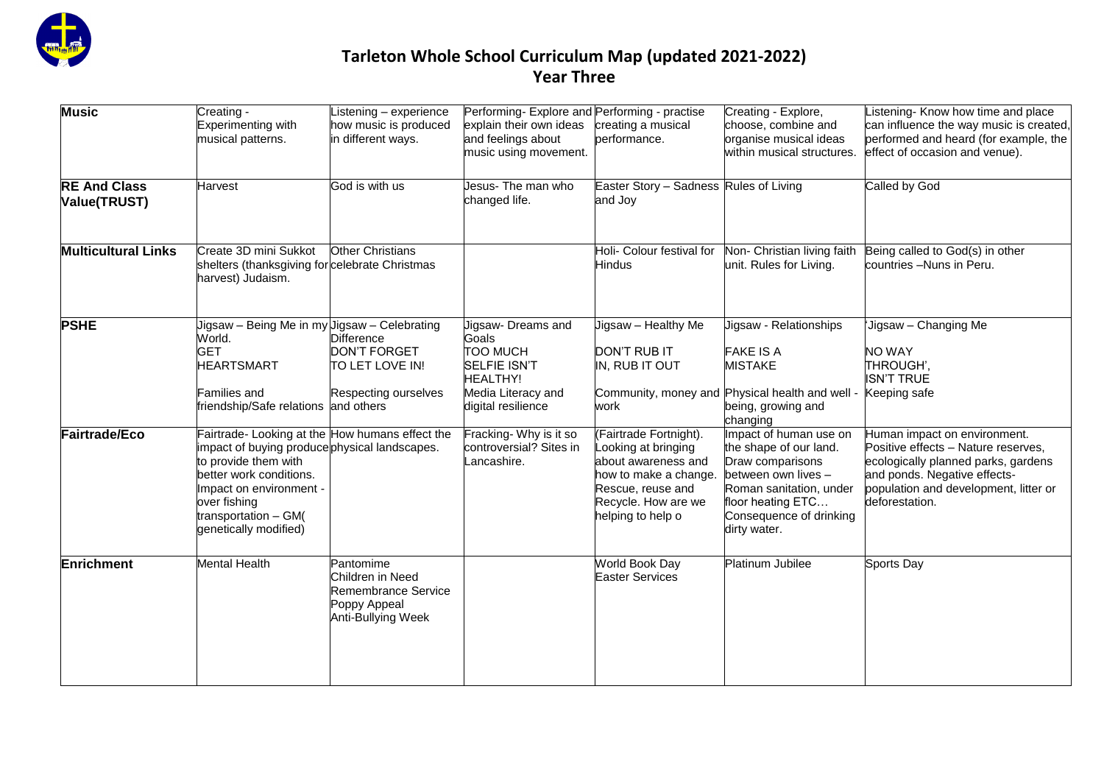

| <b>Music</b>                               | Creating -<br>Experimenting with<br>musical patterns.                                                                                                                                                                                          | istening - experience<br>how music is produced<br>in different ways.                                                | Performing- Explore and Performing - practise<br>explain their own ideas<br>and feelings about<br>music using movement.              | creating a musical<br>performance.                                                                                                                             | Creating - Explore,<br>choose, combine and<br>organise musical ideas<br>within musical structures.                                                                                     | Listening- Know how time and place<br>can influence the way music is created,<br>performed and heard (for example, the<br>effect of occasion and venue).                                              |
|--------------------------------------------|------------------------------------------------------------------------------------------------------------------------------------------------------------------------------------------------------------------------------------------------|---------------------------------------------------------------------------------------------------------------------|--------------------------------------------------------------------------------------------------------------------------------------|----------------------------------------------------------------------------------------------------------------------------------------------------------------|----------------------------------------------------------------------------------------------------------------------------------------------------------------------------------------|-------------------------------------------------------------------------------------------------------------------------------------------------------------------------------------------------------|
| <b>RE And Class</b><br><b>Value(TRUST)</b> | <b>Harvest</b>                                                                                                                                                                                                                                 | God is with us                                                                                                      | Jesus- The man who<br>changed life.                                                                                                  | Easter Story - Sadness Rules of Living<br>and Joy                                                                                                              |                                                                                                                                                                                        | Called by God                                                                                                                                                                                         |
| <b>Multicultural Links</b>                 | Create 3D mini Sukkot<br>shelters (thanksgiving for celebrate Christmas<br>harvest) Judaism.                                                                                                                                                   | <b>Other Christians</b>                                                                                             |                                                                                                                                      | Holi- Colour festival for<br><b>Hindus</b>                                                                                                                     | Non- Christian living faith<br>unit. Rules for Living.                                                                                                                                 | Being called to God(s) in other<br>countries -Nuns in Peru.                                                                                                                                           |
| <b>PSHE</b>                                | Jigsaw –<br>World.<br><b>GET</b><br><b>HEARTSMART</b><br>Families and<br>friendship/Safe relations and others                                                                                                                                  | Being Me in my Jigsaw - Celebrating<br><b>Difference</b><br>DON'T FORGET<br>TO LET LOVE IN!<br>Respecting ourselves | Jigsaw- Dreams and<br>Goals<br><b>TOO MUCH</b><br><b>SELFIE ISN'T</b><br><b>HEALTHY!</b><br>Media Literacy and<br>digital resilience | Jigsaw - Healthy Me<br><b>DON'T RUB IT</b><br>IN, RUB IT OUT<br>work                                                                                           | Jigsaw - Relationships<br><b>FAKE IS A</b><br><b>MISTAKE</b><br>Community, money and Physical health and well -<br>being, growing and<br>changing                                      | Jigsaw - Changing Me<br><b>NO WAY</b><br>THROUGH',<br><b>ISN'T TRUE</b><br>Keeping safe                                                                                                               |
| <b>Fairtrade/Eco</b>                       | Fairtrade- Looking at the How humans effect the<br>impact of buying producephysical landscapes.<br>to provide them with<br>better work conditions.<br>Impact on environment -<br>over fishing<br>transportation - GM(<br>genetically modified) |                                                                                                                     | Fracking- Why is it so<br>controversial? Sites in<br>Lancashire.                                                                     | (Fairtrade Fortnight).<br>Looking at bringing<br>about awareness and<br>how to make a change.<br>Rescue, reuse and<br>Recycle. How are we<br>helping to help o | Impact of human use on<br>the shape of our land.<br>Draw comparisons<br>between own lives -<br>Roman sanitation, under<br>floor heating ETC<br>Consequence of drinking<br>dirty water. | Human impact on environment.<br>Positive effects - Nature reserves,<br>ecologically planned parks, gardens<br>and ponds. Negative effects-<br>population and development, litter or<br>deforestation. |
| <b>Enrichment</b>                          | Mental Health                                                                                                                                                                                                                                  | Pantomime<br>Children in Need<br>Remembrance Service<br>Poppy Appeal<br>Anti-Bullying Week                          |                                                                                                                                      | World Book Day<br><b>Easter Services</b>                                                                                                                       | Platinum Jubilee                                                                                                                                                                       | Sports Day                                                                                                                                                                                            |